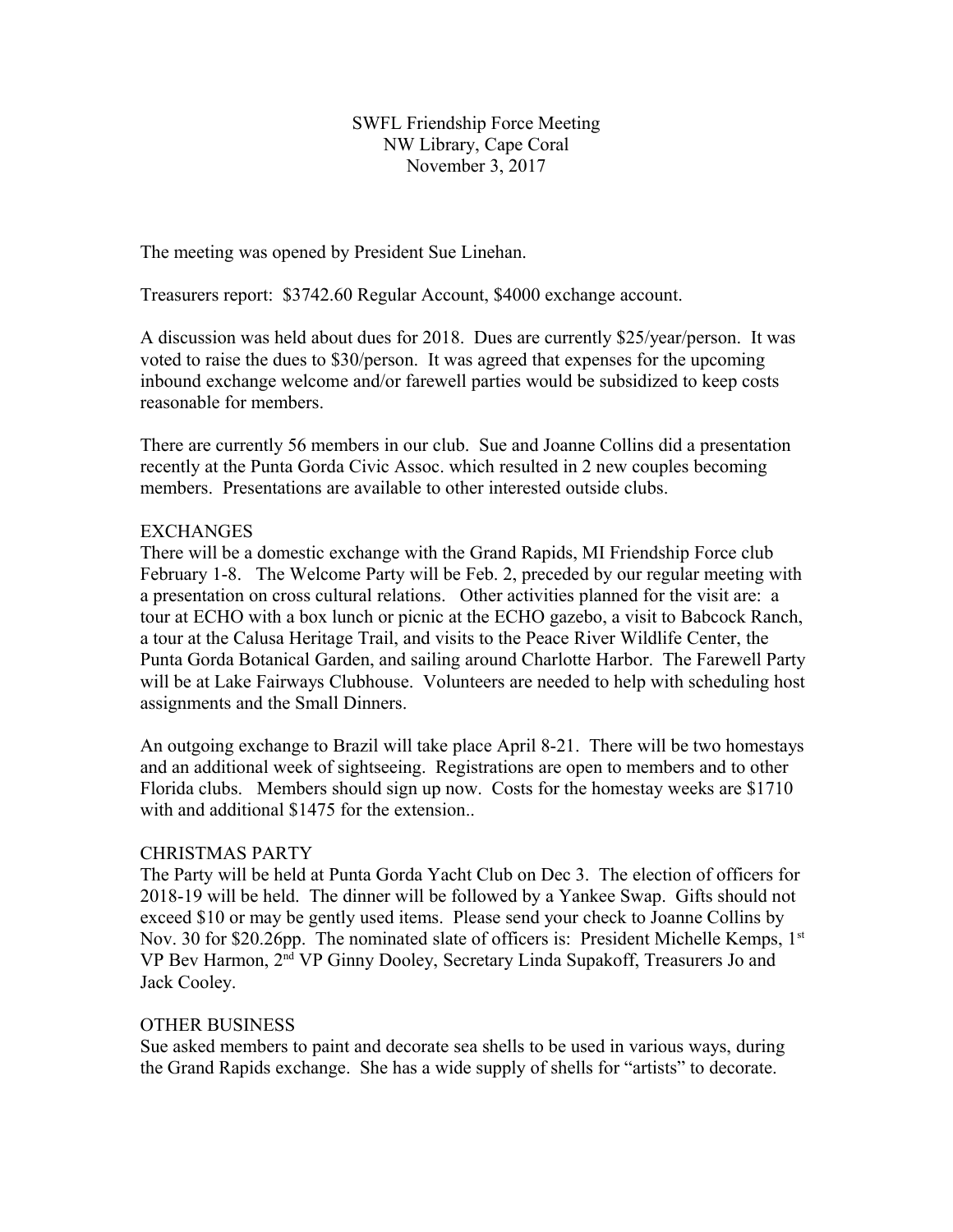SWFL Friendship Force Meeting NW Library, Cape Coral November 3, 2017

The meeting was opened by President Sue Linehan.

Treasurers report: \$3742.60 Regular Account, \$4000 exchange account.

A discussion was held about dues for 2018. Dues are currently \$25/year/person. It was voted to raise the dues to \$30/person. It was agreed that expenses for the upcoming inbound exchange welcome and/or farewell parties would be subsidized to keep costs reasonable for members.

There are currently 56 members in our club. Sue and Joanne Collins did a presentation recently at the Punta Gorda Civic Assoc. which resulted in 2 new couples becoming members. Presentations are available to other interested outside clubs.

#### **EXCHANGES**

There will be a domestic exchange with the Grand Rapids, MI Friendship Force club February 1-8. The Welcome Party will be Feb. 2, preceded by our regular meeting with a presentation on cross cultural relations. Other activities planned for the visit are: a tour at ECHO with a box lunch or picnic at the ECHO gazebo, a visit to Babcock Ranch, a tour at the Calusa Heritage Trail, and visits to the Peace River Wildlife Center, the Punta Gorda Botanical Garden, and sailing around Charlotte Harbor. The Farewell Party will be at Lake Fairways Clubhouse. Volunteers are needed to help with scheduling host assignments and the Small Dinners.

An outgoing exchange to Brazil will take place April 8-21. There will be two homestays and an additional week of sightseeing. Registrations are open to members and to other Florida clubs. Members should sign up now. Costs for the homestay weeks are \$1710 with and additional \$1475 for the extension..

#### CHRISTMAS PARTY

The Party will be held at Punta Gorda Yacht Club on Dec 3. The election of officers for 2018-19 will be held. The dinner will be followed by a Yankee Swap. Gifts should not exceed \$10 or may be gently used items. Please send your check to Joanne Collins by Nov. 30 for \$20.26pp. The nominated slate of officers is: President Michelle Kemps,  $1<sup>st</sup>$ VP Bev Harmon, 2nd VP Ginny Dooley, Secretary Linda Supakoff, Treasurers Jo and Jack Cooley.

#### OTHER BUSINESS

Sue asked members to paint and decorate sea shells to be used in various ways, during the Grand Rapids exchange. She has a wide supply of shells for "artists" to decorate.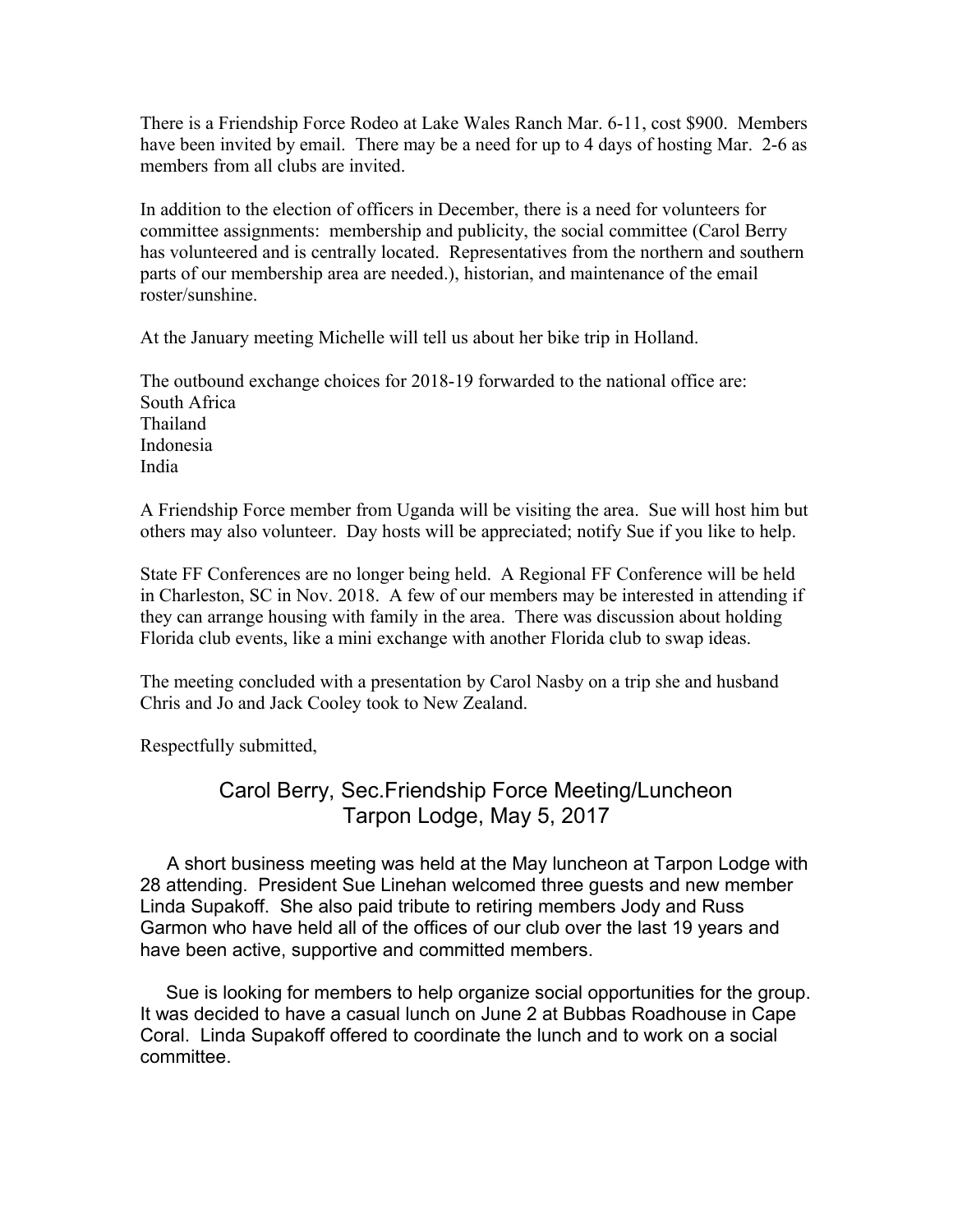There is a Friendship Force Rodeo at Lake Wales Ranch Mar. 6-11, cost \$900. Members have been invited by email. There may be a need for up to 4 days of hosting Mar. 2-6 as members from all clubs are invited.

In addition to the election of officers in December, there is a need for volunteers for committee assignments: membership and publicity, the social committee (Carol Berry has volunteered and is centrally located. Representatives from the northern and southern parts of our membership area are needed.), historian, and maintenance of the email roster/sunshine.

At the January meeting Michelle will tell us about her bike trip in Holland.

The outbound exchange choices for 2018-19 forwarded to the national office are: South Africa Thailand Indonesia India

A Friendship Force member from Uganda will be visiting the area. Sue will host him but others may also volunteer. Day hosts will be appreciated; notify Sue if you like to help.

State FF Conferences are no longer being held. A Regional FF Conference will be held in Charleston, SC in Nov. 2018. A few of our members may be interested in attending if they can arrange housing with family in the area. There was discussion about holding Florida club events, like a mini exchange with another Florida club to swap ideas.

The meeting concluded with a presentation by Carol Nasby on a trip she and husband Chris and Jo and Jack Cooley took to New Zealand.

Respectfully submitted,

# Carol Berry, Sec.Friendship Force Meeting/Luncheon Tarpon Lodge, May 5, 2017

 A short business meeting was held at the May luncheon at Tarpon Lodge with 28 attending. President Sue Linehan welcomed three guests and new member Linda Supakoff. She also paid tribute to retiring members Jody and Russ Garmon who have held all of the offices of our club over the last 19 years and have been active, supportive and committed members.

 Sue is looking for members to help organize social opportunities for the group. It was decided to have a casual lunch on June 2 at Bubbas Roadhouse in Cape Coral. Linda Supakoff offered to coordinate the lunch and to work on a social committee.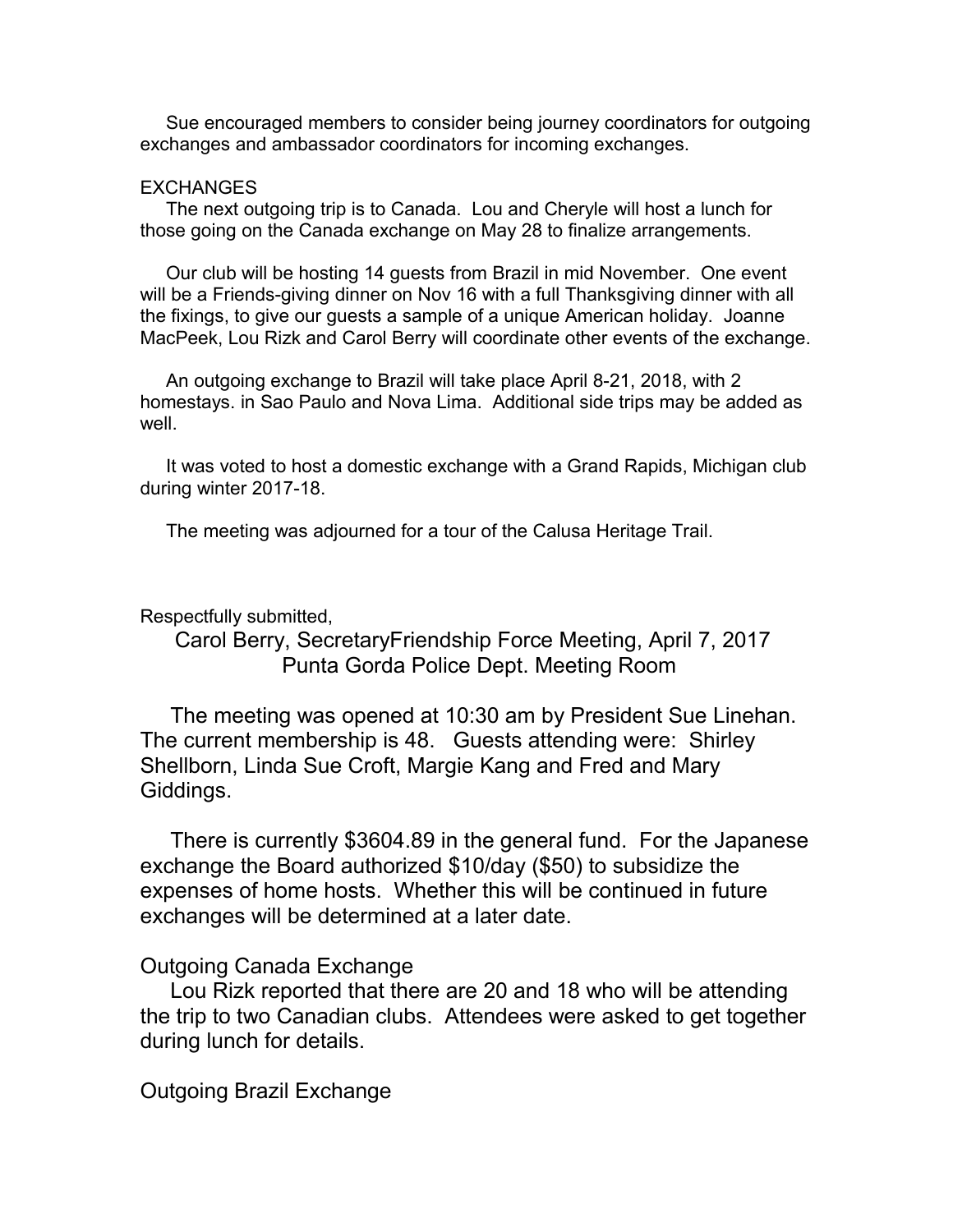Sue encouraged members to consider being journey coordinators for outgoing exchanges and ambassador coordinators for incoming exchanges.

#### **EXCHANGES**

 The next outgoing trip is to Canada. Lou and Cheryle will host a lunch for those going on the Canada exchange on May 28 to finalize arrangements.

 Our club will be hosting 14 guests from Brazil in mid November. One event will be a Friends-giving dinner on Nov 16 with a full Thanksgiving dinner with all the fixings, to give our guests a sample of a unique American holiday. Joanne MacPeek, Lou Rizk and Carol Berry will coordinate other events of the exchange.

 An outgoing exchange to Brazil will take place April 8-21, 2018, with 2 homestays. in Sao Paulo and Nova Lima. Additional side trips may be added as well.

 It was voted to host a domestic exchange with a Grand Rapids, Michigan club during winter 2017-18.

The meeting was adjourned for a tour of the Calusa Heritage Trail.

#### Respectfully submitted,

# Carol Berry, SecretaryFriendship Force Meeting, April 7, 2017 Punta Gorda Police Dept. Meeting Room

 The meeting was opened at 10:30 am by President Sue Linehan. The current membership is 48. Guests attending were: Shirley Shellborn, Linda Sue Croft, Margie Kang and Fred and Mary Giddings.

 There is currently \$3604.89 in the general fund. For the Japanese exchange the Board authorized \$10/day (\$50) to subsidize the expenses of home hosts. Whether this will be continued in future exchanges will be determined at a later date.

#### Outgoing Canada Exchange

 Lou Rizk reported that there are 20 and 18 who will be attending the trip to two Canadian clubs. Attendees were asked to get together during lunch for details.

Outgoing Brazil Exchange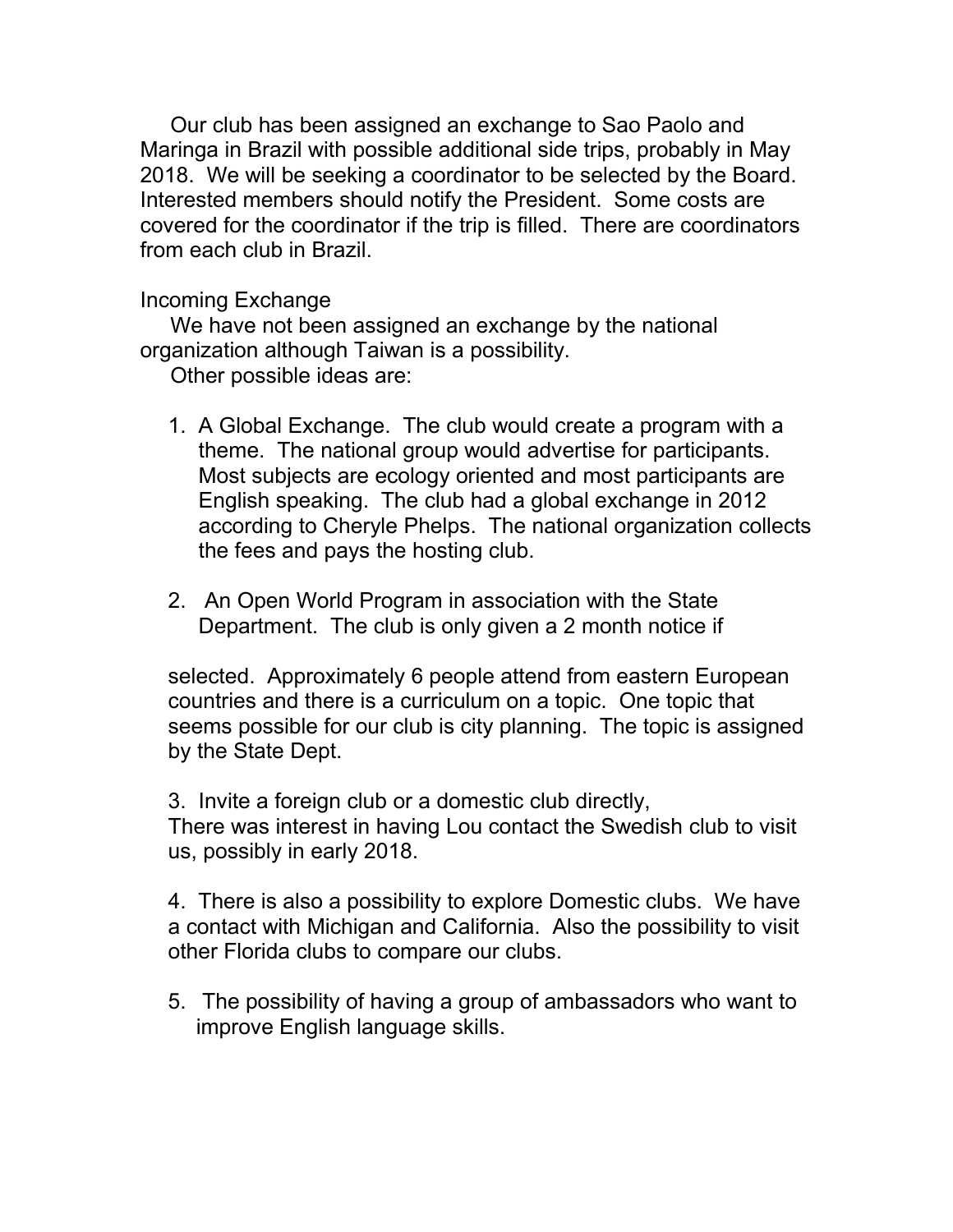Our club has been assigned an exchange to Sao Paolo and Maringa in Brazil with possible additional side trips, probably in May 2018. We will be seeking a coordinator to be selected by the Board. Interested members should notify the President. Some costs are covered for the coordinator if the trip is filled. There are coordinators from each club in Brazil.

# Incoming Exchange

 We have not been assigned an exchange by the national organization although Taiwan is a possibility.

Other possible ideas are:

- 1. A Global Exchange. The club would create a program with a theme. The national group would advertise for participants. Most subjects are ecology oriented and most participants are English speaking. The club had a global exchange in 2012 according to Cheryle Phelps. The national organization collects the fees and pays the hosting club.
- 2. An Open World Program in association with the State Department. The club is only given a 2 month notice if

selected. Approximately 6 people attend from eastern European countries and there is a curriculum on a topic. One topic that seems possible for our club is city planning. The topic is assigned by the State Dept.

3. Invite a foreign club or a domestic club directly,

There was interest in having Lou contact the Swedish club to visit us, possibly in early 2018.

4. There is also a possibility to explore Domestic clubs. We have a contact with Michigan and California. Also the possibility to visit other Florida clubs to compare our clubs.

5. The possibility of having a group of ambassadors who want to improve English language skills.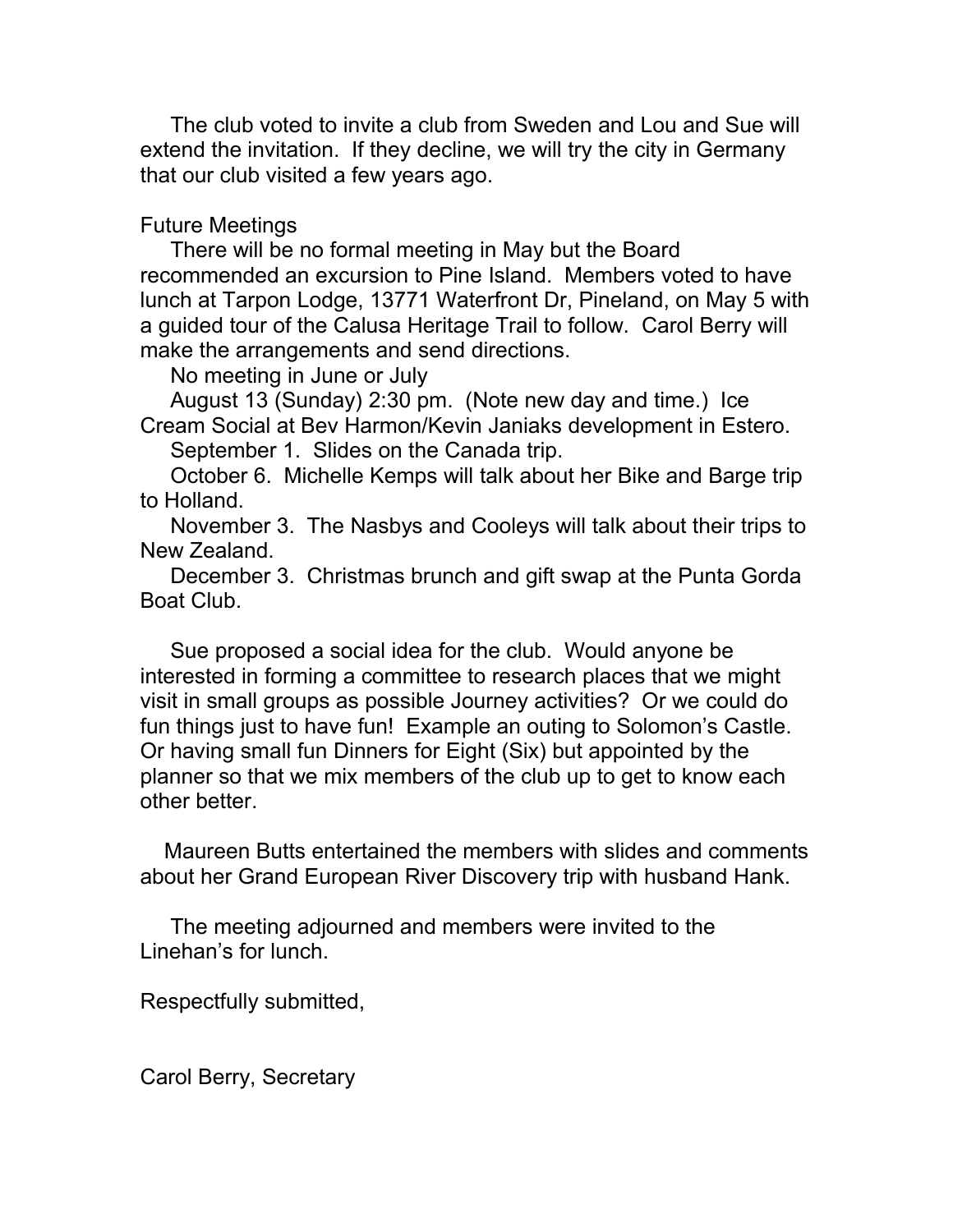The club voted to invite a club from Sweden and Lou and Sue will extend the invitation. If they decline, we will try the city in Germany that our club visited a few years ago.

Future Meetings

 There will be no formal meeting in May but the Board recommended an excursion to Pine Island. Members voted to have lunch at Tarpon Lodge, 13771 Waterfront Dr, Pineland, on May 5 with a guided tour of the Calusa Heritage Trail to follow. Carol Berry will make the arrangements and send directions.

No meeting in June or July

 August 13 (Sunday) 2:30 pm. (Note new day and time.) Ice Cream Social at Bev Harmon/Kevin Janiaks development in Estero.

September 1. Slides on the Canada trip.

 October 6. Michelle Kemps will talk about her Bike and Barge trip to Holland.

 November 3. The Nasbys and Cooleys will talk about their trips to New Zealand.

 December 3. Christmas brunch and gift swap at the Punta Gorda Boat Club.

 Sue proposed a social idea for the club. Would anyone be interested in forming a committee to research places that we might visit in small groups as possible Journey activities? Or we could do fun things just to have fun! Example an outing to Solomon's Castle. Or having small fun Dinners for Eight (Six) but appointed by the planner so that we mix members of the club up to get to know each other better.

 Maureen Butts entertained the members with slides and comments about her Grand European River Discovery trip with husband Hank.

 The meeting adjourned and members were invited to the Linehan's for lunch.

Respectfully submitted,

Carol Berry, Secretary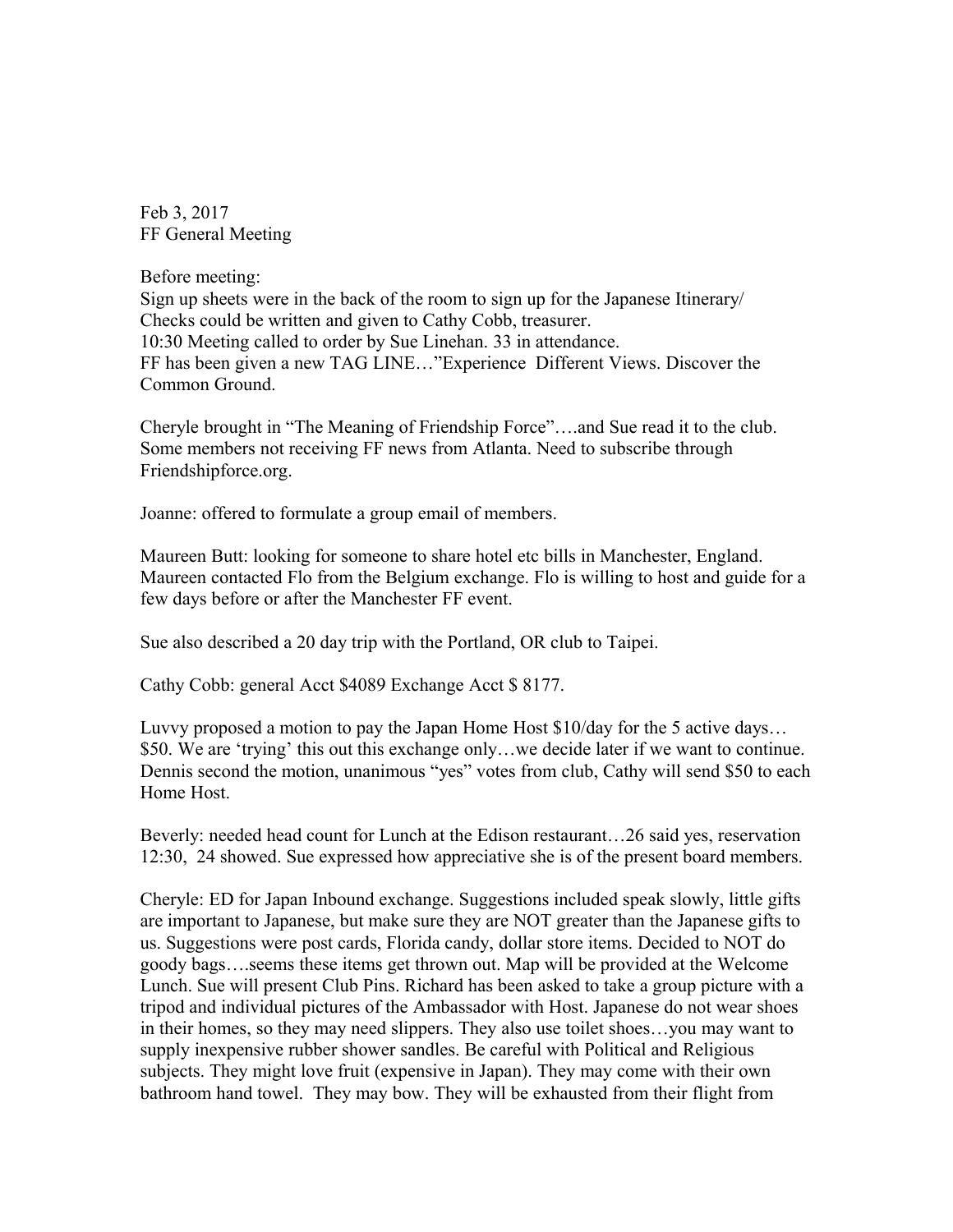Feb 3, 2017 FF General Meeting

Before meeting:

Sign up sheets were in the back of the room to sign up for the Japanese Itinerary/ Checks could be written and given to Cathy Cobb, treasurer. 10:30 Meeting called to order by Sue Linehan. 33 in attendance. FF has been given a new TAG LINE…"Experience Different Views. Discover the Common Ground.

Cheryle brought in "The Meaning of Friendship Force"….and Sue read it to the club. Some members not receiving FF news from Atlanta. Need to subscribe through Friendshipforce.org.

Joanne: offered to formulate a group email of members.

Maureen Butt: looking for someone to share hotel etc bills in Manchester, England. Maureen contacted Flo from the Belgium exchange. Flo is willing to host and guide for a few days before or after the Manchester FF event.

Sue also described a 20 day trip with the Portland, OR club to Taipei.

Cathy Cobb: general Acct \$4089 Exchange Acct \$ 8177.

Luvvy proposed a motion to pay the Japan Home Host \$10/day for the 5 active days… \$50. We are 'trying' this out this exchange only…we decide later if we want to continue. Dennis second the motion, unanimous "yes" votes from club, Cathy will send \$50 to each Home Host.

Beverly: needed head count for Lunch at the Edison restaurant…26 said yes, reservation 12:30, 24 showed. Sue expressed how appreciative she is of the present board members.

Cheryle: ED for Japan Inbound exchange. Suggestions included speak slowly, little gifts are important to Japanese, but make sure they are NOT greater than the Japanese gifts to us. Suggestions were post cards, Florida candy, dollar store items. Decided to NOT do goody bags….seems these items get thrown out. Map will be provided at the Welcome Lunch. Sue will present Club Pins. Richard has been asked to take a group picture with a tripod and individual pictures of the Ambassador with Host. Japanese do not wear shoes in their homes, so they may need slippers. They also use toilet shoes…you may want to supply inexpensive rubber shower sandles. Be careful with Political and Religious subjects. They might love fruit (expensive in Japan). They may come with their own bathroom hand towel. They may bow. They will be exhausted from their flight from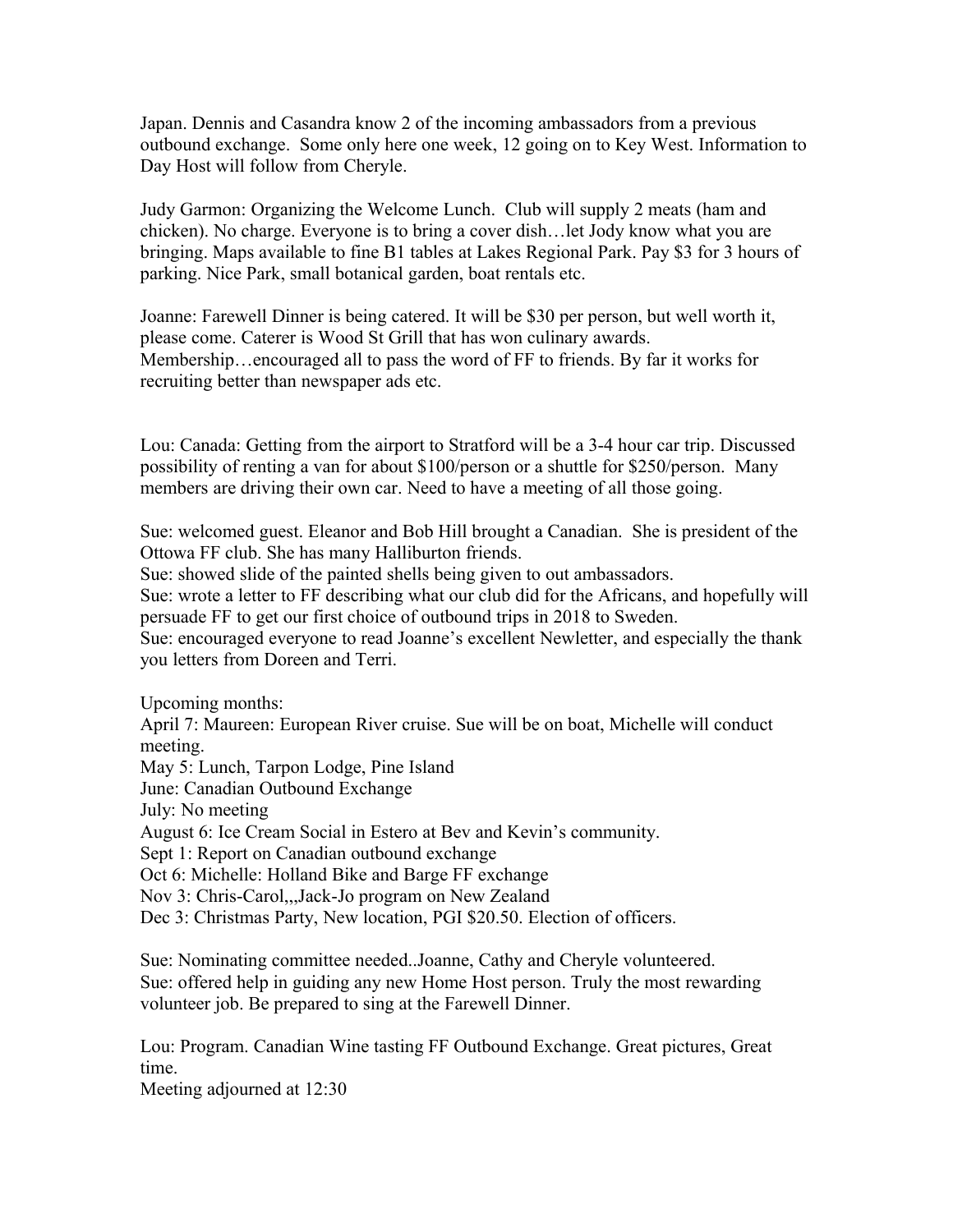Japan. Dennis and Casandra know 2 of the incoming ambassadors from a previous outbound exchange. Some only here one week, 12 going on to Key West. Information to Day Host will follow from Cheryle.

Judy Garmon: Organizing the Welcome Lunch. Club will supply 2 meats (ham and chicken). No charge. Everyone is to bring a cover dish…let Jody know what you are bringing. Maps available to fine B1 tables at Lakes Regional Park. Pay \$3 for 3 hours of parking. Nice Park, small botanical garden, boat rentals etc.

Joanne: Farewell Dinner is being catered. It will be \$30 per person, but well worth it, please come. Caterer is Wood St Grill that has won culinary awards. Membership…encouraged all to pass the word of FF to friends. By far it works for recruiting better than newspaper ads etc.

Lou: Canada: Getting from the airport to Stratford will be a 3-4 hour car trip. Discussed possibility of renting a van for about \$100/person or a shuttle for \$250/person. Many members are driving their own car. Need to have a meeting of all those going.

Sue: welcomed guest. Eleanor and Bob Hill brought a Canadian. She is president of the Ottowa FF club. She has many Halliburton friends.

Sue: showed slide of the painted shells being given to out ambassadors.

Sue: wrote a letter to FF describing what our club did for the Africans, and hopefully will persuade FF to get our first choice of outbound trips in 2018 to Sweden.

Sue: encouraged everyone to read Joanne's excellent Newletter, and especially the thank you letters from Doreen and Terri.

Upcoming months: April 7: Maureen: European River cruise. Sue will be on boat, Michelle will conduct meeting. May 5: Lunch, Tarpon Lodge, Pine Island June: Canadian Outbound Exchange July: No meeting August 6: Ice Cream Social in Estero at Bev and Kevin's community. Sept 1: Report on Canadian outbound exchange Oct 6: Michelle: Holland Bike and Barge FF exchange Nov 3: Chris-Carol,,,Jack-Jo program on New Zealand Dec 3: Christmas Party, New location, PGI \$20.50. Election of officers.

Sue: Nominating committee needed..Joanne, Cathy and Cheryle volunteered. Sue: offered help in guiding any new Home Host person. Truly the most rewarding volunteer job. Be prepared to sing at the Farewell Dinner.

Lou: Program. Canadian Wine tasting FF Outbound Exchange. Great pictures, Great time.

Meeting adjourned at 12:30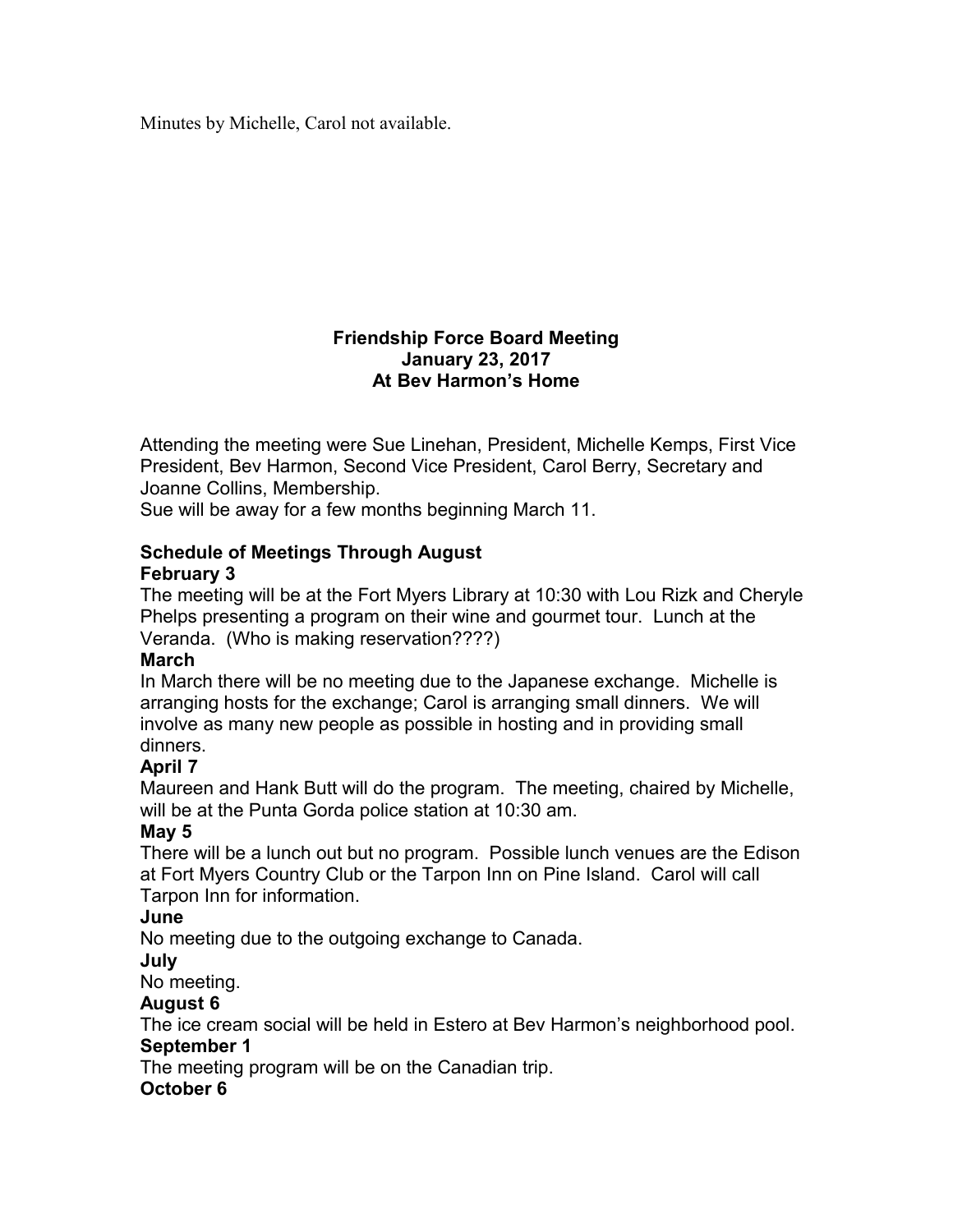Minutes by Michelle, Carol not available.

## **Friendship Force Board Meeting January 23, 2017 At Bev Harmon's Home**

Attending the meeting were Sue Linehan, President, Michelle Kemps, First Vice President, Bev Harmon, Second Vice President, Carol Berry, Secretary and Joanne Collins, Membership.

Sue will be away for a few months beginning March 11.

# **Schedule of Meetings Through August**

# **February 3**

The meeting will be at the Fort Myers Library at 10:30 with Lou Rizk and Cheryle Phelps presenting a program on their wine and gourmet tour. Lunch at the Veranda. (Who is making reservation????)

# **March**

In March there will be no meeting due to the Japanese exchange. Michelle is arranging hosts for the exchange; Carol is arranging small dinners. We will involve as many new people as possible in hosting and in providing small dinners.

# **April 7**

Maureen and Hank Butt will do the program. The meeting, chaired by Michelle, will be at the Punta Gorda police station at 10:30 am.

# **May 5**

There will be a lunch out but no program. Possible lunch venues are the Edison at Fort Myers Country Club or the Tarpon Inn on Pine Island. Carol will call Tarpon Inn for information.

# **June**

No meeting due to the outgoing exchange to Canada.

# **July**

No meeting.

# **August 6**

The ice cream social will be held in Estero at Bev Harmon's neighborhood pool. **September 1**

The meeting program will be on the Canadian trip.

# **October 6**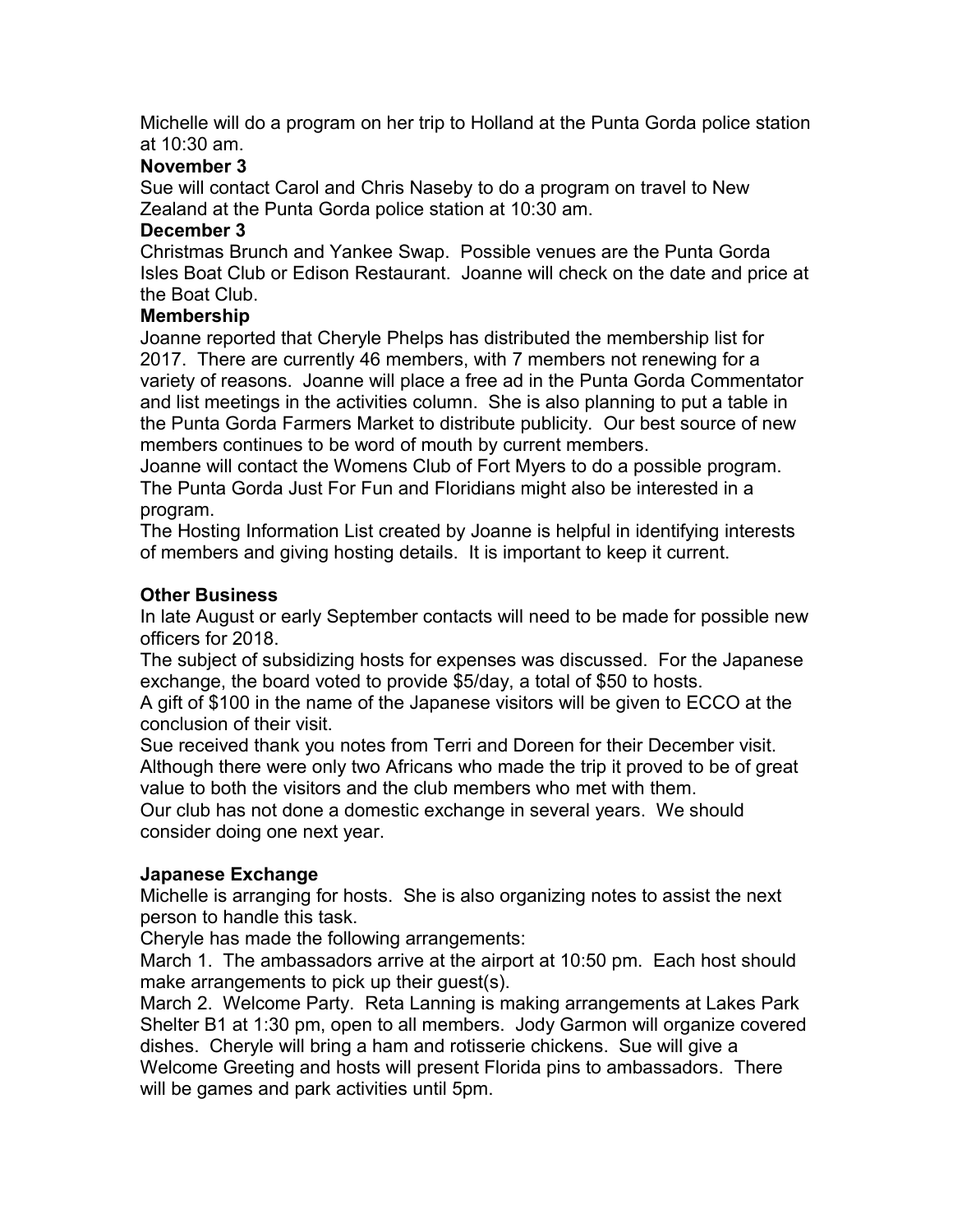Michelle will do a program on her trip to Holland at the Punta Gorda police station at 10:30 am.

## **November 3**

Sue will contact Carol and Chris Naseby to do a program on travel to New Zealand at the Punta Gorda police station at 10:30 am.

### **December 3**

Christmas Brunch and Yankee Swap. Possible venues are the Punta Gorda Isles Boat Club or Edison Restaurant. Joanne will check on the date and price at the Boat Club.

### **Membership**

Joanne reported that Cheryle Phelps has distributed the membership list for 2017. There are currently 46 members, with 7 members not renewing for a variety of reasons. Joanne will place a free ad in the Punta Gorda Commentator and list meetings in the activities column. She is also planning to put a table in the Punta Gorda Farmers Market to distribute publicity. Our best source of new members continues to be word of mouth by current members.

Joanne will contact the Womens Club of Fort Myers to do a possible program. The Punta Gorda Just For Fun and Floridians might also be interested in a program.

The Hosting Information List created by Joanne is helpful in identifying interests of members and giving hosting details. It is important to keep it current.

### **Other Business**

In late August or early September contacts will need to be made for possible new officers for 2018.

The subject of subsidizing hosts for expenses was discussed. For the Japanese exchange, the board voted to provide \$5/day, a total of \$50 to hosts.

A gift of \$100 in the name of the Japanese visitors will be given to ECCO at the conclusion of their visit.

Sue received thank you notes from Terri and Doreen for their December visit. Although there were only two Africans who made the trip it proved to be of great value to both the visitors and the club members who met with them.

Our club has not done a domestic exchange in several years. We should consider doing one next year.

### **Japanese Exchange**

Michelle is arranging for hosts. She is also organizing notes to assist the next person to handle this task.

Cheryle has made the following arrangements:

March 1. The ambassadors arrive at the airport at 10:50 pm. Each host should make arrangements to pick up their guest(s).

March 2. Welcome Party. Reta Lanning is making arrangements at Lakes Park Shelter B1 at 1:30 pm, open to all members. Jody Garmon will organize covered dishes. Cheryle will bring a ham and rotisserie chickens. Sue will give a Welcome Greeting and hosts will present Florida pins to ambassadors. There will be games and park activities until 5pm.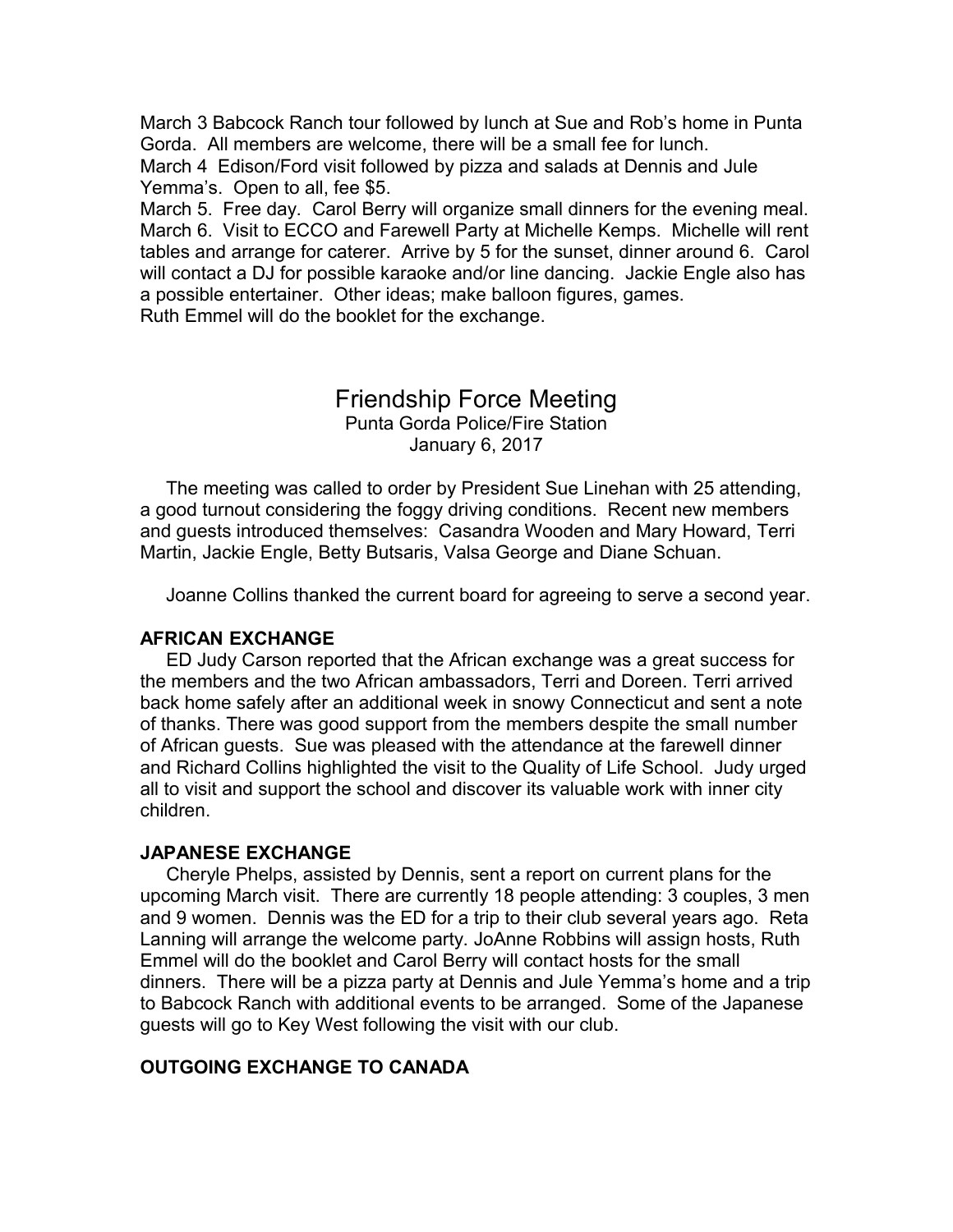March 3 Babcock Ranch tour followed by lunch at Sue and Rob's home in Punta Gorda. All members are welcome, there will be a small fee for lunch. March 4 Edison/Ford visit followed by pizza and salads at Dennis and Jule

Yemma's. Open to all, fee \$5.

March 5. Free day. Carol Berry will organize small dinners for the evening meal. March 6. Visit to ECCO and Farewell Party at Michelle Kemps. Michelle will rent tables and arrange for caterer. Arrive by 5 for the sunset, dinner around 6. Carol will contact a DJ for possible karaoke and/or line dancing. Jackie Engle also has a possible entertainer. Other ideas; make balloon figures, games.

Ruth Emmel will do the booklet for the exchange.

# Friendship Force Meeting

Punta Gorda Police/Fire Station January 6, 2017

 The meeting was called to order by President Sue Linehan with 25 attending, a good turnout considering the foggy driving conditions. Recent new members and guests introduced themselves: Casandra Wooden and Mary Howard, Terri Martin, Jackie Engle, Betty Butsaris, Valsa George and Diane Schuan.

Joanne Collins thanked the current board for agreeing to serve a second year.

### **AFRICAN EXCHANGE**

ED Judy Carson reported that the African exchange was a great success for the members and the two African ambassadors, Terri and Doreen. Terri arrived back home safely after an additional week in snowy Connecticut and sent a note of thanks. There was good support from the members despite the small number of African guests. Sue was pleased with the attendance at the farewell dinner and Richard Collins highlighted the visit to the Quality of Life School. Judy urged all to visit and support the school and discover its valuable work with inner city children.

### **JAPANESE EXCHANGE**

Cheryle Phelps, assisted by Dennis, sent a report on current plans for the upcoming March visit. There are currently 18 people attending: 3 couples, 3 men and 9 women. Dennis was the ED for a trip to their club several years ago. Reta Lanning will arrange the welcome party. JoAnne Robbins will assign hosts, Ruth Emmel will do the booklet and Carol Berry will contact hosts for the small dinners. There will be a pizza party at Dennis and Jule Yemma's home and a trip to Babcock Ranch with additional events to be arranged. Some of the Japanese guests will go to Key West following the visit with our club.

# **OUTGOING EXCHANGE TO CANADA**